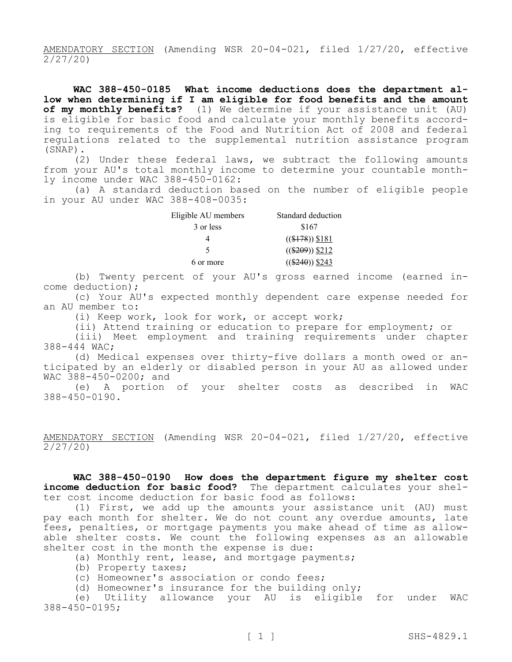AMENDATORY SECTION (Amending WSR 20-04-021, filed 1/27/20, effective 2/27/20)

**WAC 388-450-0185 What income deductions does the department allow when determining if I am eligible for food benefits and the amount of my monthly benefits?** (1) We determine if your assistance unit (AU) is eligible for basic food and calculate your monthly benefits according to requirements of the Food and Nutrition Act of 2008 and federal regulations related to the supplemental nutrition assistance program (SNAP).

(2) Under these federal laws, we subtract the following amounts from your AU's total monthly income to determine your countable monthly income under WAC 388-450-0162:

(a) A standard deduction based on the number of eligible people in your AU under WAC 388-408-0035:

| Eligible AU members | Standard deduction          |  |  |
|---------------------|-----------------------------|--|--|
| 3 or less           | \$167                       |  |  |
|                     | $((\$178))$ \$181           |  |  |
| 5                   | $((\$209))$ \$212           |  |  |
| 6 or more           | $((\$240) \ \frac{\$243}{}$ |  |  |

(b) Twenty percent of your AU's gross earned income (earned income deduction);

(c) Your AU's expected monthly dependent care expense needed for an AU member to:

(i) Keep work, look for work, or accept work;

(ii) Attend training or education to prepare for employment; or

(iii) Meet employment and training requirements under chapter 388-444 WAC;

(d) Medical expenses over thirty-five dollars a month owed or anticipated by an elderly or disabled person in your AU as allowed under WAC 388-450-0200; and

(e) A portion of your shelter costs as described in WAC 388-450-0190.

AMENDATORY SECTION (Amending WSR 20-04-021, filed 1/27/20, effective 2/27/20)

**WAC 388-450-0190 How does the department figure my shelter cost income deduction for basic food?** The department calculates your shelter cost income deduction for basic food as follows:

(1) First, we add up the amounts your assistance unit (AU) must pay each month for shelter. We do not count any overdue amounts, late fees, penalties, or mortgage payments you make ahead of time as allowable shelter costs. We count the following expenses as an allowable shelter cost in the month the expense is due:

(a) Monthly rent, lease, and mortgage payments;

- (b) Property taxes;
- (c) Homeowner's association or condo fees;
- (d) Homeowner's insurance for the building only;

(e) Utility allowance your AU is eligible for under WAC 388-450-0195;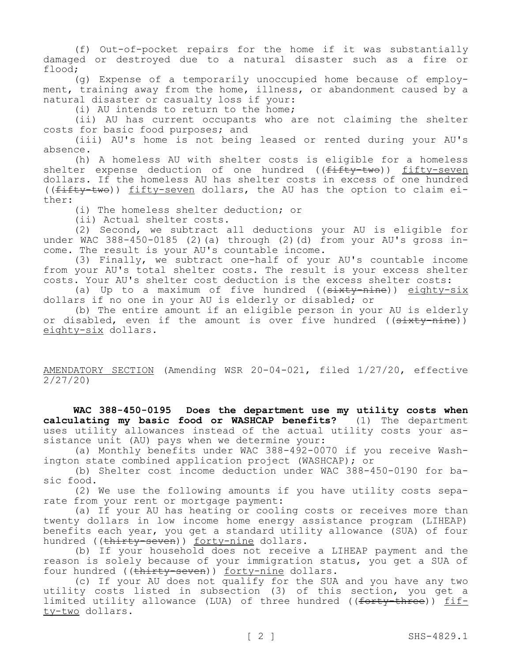(f) Out-of-pocket repairs for the home if it was substantially damaged or destroyed due to a natural disaster such as a fire or flood;

(g) Expense of a temporarily unoccupied home because of employment, training away from the home, illness, or abandonment caused by a natural disaster or casualty loss if your:

(i) AU intends to return to the home;

(ii) AU has current occupants who are not claiming the shelter costs for basic food purposes; and

(iii) AU's home is not being leased or rented during your AU's absence.

(h) A homeless AU with shelter costs is eligible for a homeless shelter expense deduction of one hundred ((fifty-two)) fifty-seven dollars. If the homeless AU has shelter costs in excess of one hundred ((fifty-two)) fifty-seven dollars, the AU has the option to claim either:

(i) The homeless shelter deduction; or

(ii) Actual shelter costs.

(2) Second, we subtract all deductions your AU is eligible for under WAC 388-450-0185 (2)(a) through (2)(d) from your AU's gross income. The result is your AU's countable income.

(3) Finally, we subtract one-half of your AU's countable income from your AU's total shelter costs. The result is your excess shelter costs. Your AU's shelter cost deduction is the excess shelter costs:

(a) Up to a maximum of five hundred ( $(s$ ixty-nine)) eighty-six dollars if no one in your AU is elderly or disabled; or

(b) The entire amount if an eligible person in your AU is elderly or disabled, even if the amount is over five hundred ((sixty-nine)) eighty-six dollars.

AMENDATORY SECTION (Amending WSR 20-04-021, filed 1/27/20, effective 2/27/20)

**WAC 388-450-0195 Does the department use my utility costs when calculating my basic food or WASHCAP benefits?** (1) The department uses utility allowances instead of the actual utility costs your assistance unit (AU) pays when we determine your:

(a) Monthly benefits under WAC 388-492-0070 if you receive Washington state combined application project (WASHCAP); or

(b) Shelter cost income deduction under WAC 388-450-0190 for basic food.

(2) We use the following amounts if you have utility costs separate from your rent or mortgage payment:

(a) If your AU has heating or cooling costs or receives more than twenty dollars in low income home energy assistance program (LIHEAP) benefits each year, you get a standard utility allowance (SUA) of four hundred ((thirty-seven)) forty-nine dollars.

(b) If your household does not receive a LIHEAP payment and the reason is solely because of your immigration status, you get a SUA of four hundred ((thirty-seven)) forty-nine dollars.

(c) If your AU does not qualify for the SUA and you have any two utility costs listed in subsection (3) of this section, you get a limited utility allowance (LUA) of three hundred ((forty-three)) fifty-two dollars.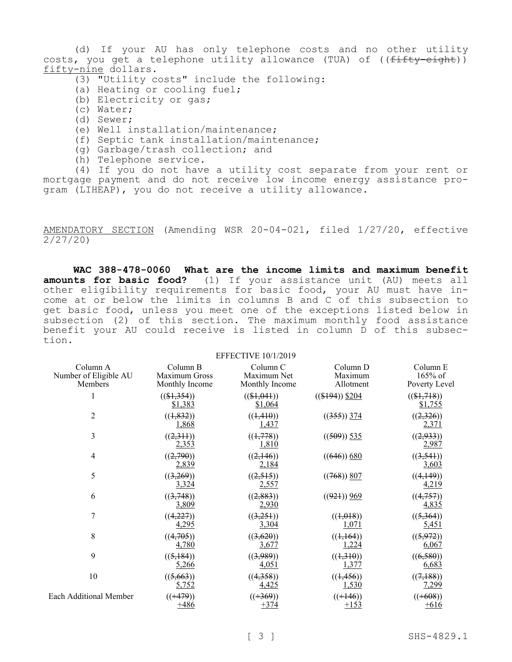(d) If your AU has only telephone costs and no other utility costs, you get a telephone utility allowance (TUA) of ((fifty-eight)) fifty-nine dollars.

- $\overline{(3)}$  "Utility costs" include the following:
- (a) Heating or cooling fuel;
- (b) Electricity or gas;
- (c) Water;
- (d) Sewer;
- (e) Well installation/maintenance;
- (f) Septic tank installation/maintenance;
- (g) Garbage/trash collection; and
- (h) Telephone service.

(4) If you do not have a utility cost separate from your rent or mortgage payment and do not receive low income energy assistance program (LIHEAP), you do not receive a utility allowance.

AMENDATORY SECTION (Amending WSR 20-04-021, filed 1/27/20, effective 2/27/20)

**WAC 388-478-0060 What are the income limits and maximum benefit amounts for basic food?** (1) If your assistance unit (AU) meets all other eligibility requirements for basic food, your AU must have income at or below the limits in columns B and C of this subsection to get basic food, unless you meet one of the exceptions listed below in subsection (2) of this section. The maximum monthly food assistance benefit your AU could receive is listed in column D of this subsection.

EFFECTIVE 10/1/2019

| Column A                      | Column B                 | Column <sub>C</sub>                       | Column D                        | Column E                  |
|-------------------------------|--------------------------|-------------------------------------------|---------------------------------|---------------------------|
| Number of Eligible AU         | Maximum Gross            | Maximum Net                               | Maximum                         | 165% of                   |
| Members                       | Monthly Income           | Monthly Income                            | Allotment                       | Poverty Level             |
|                               | $((\$1,354))$<br>\$1,383 | $((\$1,041))$<br>\$1,064                  | $((\$194))$ \$204               | $((\$1,718))$<br>\$1,755  |
| 2                             | ((1, 832))<br>1,868      | $((\frac{1}{4} + 4\frac{1}{9}))$<br>1,437 | $((355))$ 374                   | ((2,326))<br>2,371        |
| 3                             | ((2,311))<br>2,353       | ((1,778))<br>1,810                        | $((509))$ 535                   | ((2,933))<br>2,987        |
| 4                             | ((2,790))<br>2,839       | ((2,146))<br><u>2,184</u>                 | $((646))$ 680                   | ((3,541))<br><u>3,603</u> |
| 5                             | ((3,269))<br>3,324       | ((2,515))<br><u>2,557</u>                 | $((768))$ 807                   | ((4,149))<br>4,219        |
| 6                             | ((3,748))<br>3,809       | ((2,883))<br><u>2,930</u>                 | $((92+) ) 969$                  | ((4,757))<br>4,835        |
| 7                             | ((4,227))                | ((3,251))                                 | $((\frac{1}{2}, \frac{0}{18}))$ | ((5,364))                 |
|                               | 4,295                    | <u>3,304</u>                              | 1,071                           | <u>5,451</u>              |
| 8                             | ((4,705))                | ((3,620))                                 | $((\frac{1}{1}, \frac{1}{64}))$ | ((5,972))                 |
|                               | 4,780                    | 3,677                                     | 1,224                           | 6,067                     |
| 9                             | ((5, 184))               | ((3,989))                                 | ((1,310))                       | ((6,580))                 |
|                               | 5,266                    | 4,051                                     | 1,377                           | 6,683                     |
| 10                            | ((5,663))                | ((4,358))                                 | ((1, 456))                      | ((7,188))                 |
|                               | 5,752                    | 4,425                                     | 1,530                           | 7,299                     |
| <b>Each Additional Member</b> | $((+479))$               | $((+369))$                                | $((+146))$                      | $((+608))$                |
|                               | +486                     | $+374$                                    | $+153$                          | $+616$                    |